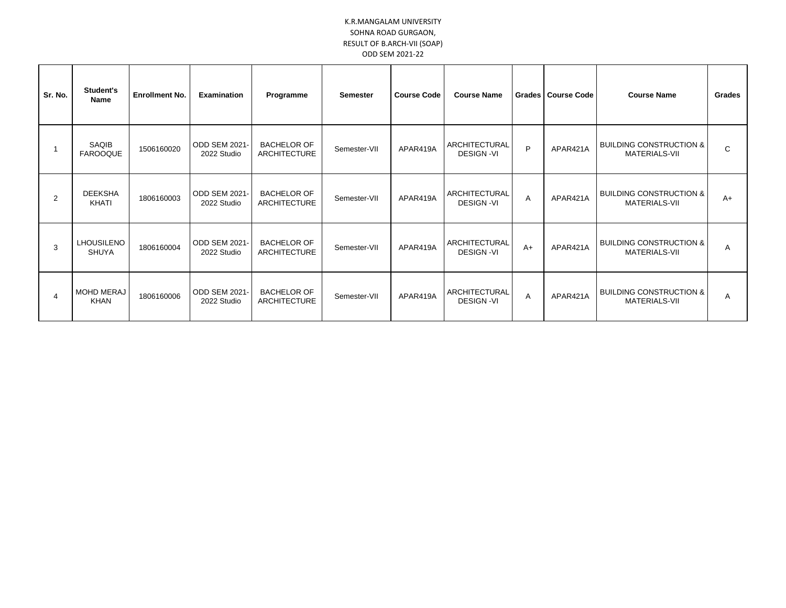## K.R.MANGALAM UNIVERSITY SOHNA ROAD GURGAON, RESULT OF B.ARCH-VII (SOAP) ODD SEM 2021-22

| Sr. No.        | Student's<br><b>Name</b>          | <b>Enrollment No.</b> | Examination                         | Programme                                 | <b>Semester</b> | <b>Course Code</b> | <b>Course Name</b>                | <b>Grades</b> | <b>Course Code</b> | <b>Course Name</b>                                  | Grades |
|----------------|-----------------------------------|-----------------------|-------------------------------------|-------------------------------------------|-----------------|--------------------|-----------------------------------|---------------|--------------------|-----------------------------------------------------|--------|
|                | SAQIB<br><b>FAROOQUE</b>          | 1506160020            | <b>ODD SEM 2021</b><br>2022 Studio  | <b>BACHELOR OF</b><br>ARCHITECTURE        | Semester-VII    | APAR419A           | ARCHITECTURAL<br><b>DESIGN-VI</b> | P             | APAR421A           | <b>BUILDING CONSTRUCTION &amp;</b><br>MATERIALS-VII | C      |
| $\overline{2}$ | <b>DEEKSHA</b><br>KHATI           | 1806160003            | <b>ODD SEM 2021</b><br>2022 Studio  | <b>BACHELOR OF</b><br>ARCHITECTURE        | Semester-VII    | APAR419A           | ARCHITECTURAL<br><b>DESIGN-VI</b> | Α             | APAR421A           | <b>BUILDING CONSTRUCTION &amp;</b><br>MATERIALS-VII | $A+$   |
| 3              | <b>LHOUSILENO</b><br><b>SHUYA</b> | 1806160004            | <b>ODD SEM 2021-</b><br>2022 Studio | <b>BACHELOR OF</b><br><b>ARCHITECTURE</b> | Semester-VII    | APAR419A           | ARCHITECTURAL<br><b>DESIGN-VI</b> | $A+$          | APAR421A           | <b>BUILDING CONSTRUCTION &amp;</b><br>MATERIALS-VII | A      |
| 4              | <b>MOHD MERAJ</b><br><b>KHAN</b>  | 1806160006            | ODD SEM 2021-<br>2022 Studio        | <b>BACHELOR OF</b><br><b>ARCHITECTURE</b> | Semester-VII    | APAR419A           | ARCHITECTURAL<br><b>DESIGN-VI</b> | Α             | APAR421A           | <b>BUILDING CONSTRUCTION &amp;</b><br>MATERIALS-VII | A      |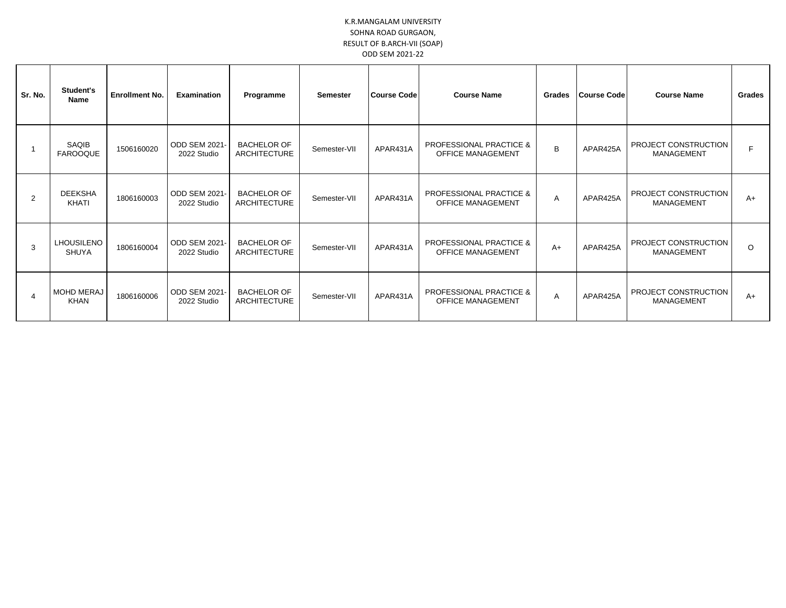## K.R.MANGALAM UNIVERSITY SOHNA ROAD GURGAON, RESULT OF B.ARCH-VII (SOAP) ODD SEM 2021-22

| Sr. No.        | Student's<br><b>Name</b>          | <b>Enrollment No.</b> | <b>Examination</b>                  | Programme                                 | <b>Semester</b> | <b>Course Code</b> | <b>Course Name</b>                                             | Grades         | <b>Course Code</b> | <b>Course Name</b>                        | Grades  |
|----------------|-----------------------------------|-----------------------|-------------------------------------|-------------------------------------------|-----------------|--------------------|----------------------------------------------------------------|----------------|--------------------|-------------------------------------------|---------|
|                | SAQIB<br><b>FAROOQUE</b>          | 1506160020            | <b>ODD SEM 2021-</b><br>2022 Studio | <b>BACHELOR OF</b><br>ARCHITECTURE        | Semester-VII    | APAR431A           | <b>PROFESSIONAL PRACTICE &amp;</b><br><b>OFFICE MANAGEMENT</b> | B              | APAR425A           | PROJECT CONSTRUCTION<br>MANAGEMENT        |         |
| $\mathfrak{p}$ | <b>DEEKSHA</b><br><b>KHATI</b>    | 1806160003            | ODD SEM 2021-<br>2022 Studio        | <b>BACHELOR OF</b><br><b>ARCHITECTURE</b> | Semester-VII    | APAR431A           | <b>PROFESSIONAL PRACTICE &amp;</b><br><b>OFFICE MANAGEMENT</b> | A              | APAR425A           | PROJECT CONSTRUCTION<br><b>MANAGEMENT</b> | A+      |
| 3              | <b>LHOUSILENO</b><br><b>SHUYA</b> | 1806160004            | ODD SEM 2021-<br>2022 Studio        | <b>BACHELOR OF</b><br><b>ARCHITECTURE</b> | Semester-VII    | APAR431A           | <b>PROFESSIONAL PRACTICE &amp;</b><br><b>OFFICE MANAGEMENT</b> | $A+$           | APAR425A           | PROJECT CONSTRUCTION<br>MANAGEMENT        | $\circ$ |
|                | <b>MOHD MERAJ</b><br><b>KHAN</b>  | 1806160006            | <b>ODD SEM 2021</b><br>2022 Studio  | <b>BACHELOR OF</b><br><b>ARCHITECTURE</b> | Semester-VII    | APAR431A           | <b>PROFESSIONAL PRACTICE &amp;</b><br>OFFICE MANAGEMENT        | $\overline{A}$ | APAR425A           | PROJECT CONSTRUCTION<br>MANAGEMENT        | A+      |